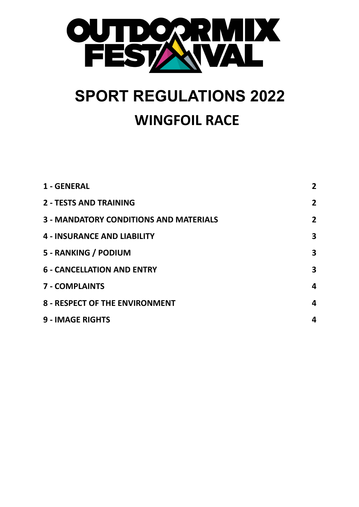

# **SPORT REGULATIONS 2022 WINGFOIL RACE**

| 1 - GENERAL                                   | $\mathbf{2}$   |
|-----------------------------------------------|----------------|
| <b>2 - TESTS AND TRAINING</b>                 | $\mathbf{2}$   |
| <b>3 - MANDATORY CONDITIONS AND MATERIALS</b> | $\overline{2}$ |
| <b>4 - INSURANCE AND LIABILITY</b>            | 3              |
| 5 - RANKING / PODIUM                          | 3              |
| <b>6 - CANCELLATION AND ENTRY</b>             | 3              |
| <b>7 - COMPLAINTS</b>                         | 4              |
| <b>8 - RESPECT OF THE ENVIRONMENT</b>         | 4              |
| <b>9 - IMAGE RIGHTS</b>                       | 4              |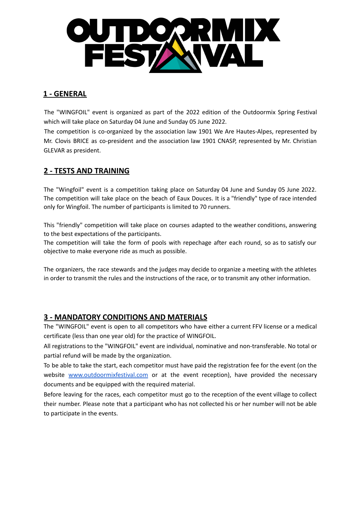

# <span id="page-1-0"></span>**1 - GENERAL**

The "WINGFOIL" event is organized as part of the 2022 edition of the Outdoormix Spring Festival which will take place on Saturday 04 June and Sunday 05 June 2022.

The competition is co-organized by the association law 1901 We Are Hautes-Alpes, represented by Mr. Clovis BRICE as co-president and the association law 1901 CNASP, represented by Mr. Christian GLEVAR as president.

# <span id="page-1-1"></span>**2 - TESTS AND TRAINING**

The "Wingfoil" event is a competition taking place on Saturday 04 June and Sunday 05 June 2022. The competition will take place on the beach of Eaux Douces. It is a "friendly" type of race intended only for Wingfoil. The number of participants is limited to 70 runners.

This "friendly" competition will take place on courses adapted to the weather conditions, answering to the best expectations of the participants.

The competition will take the form of pools with repechage after each round, so as to satisfy our objective to make everyone ride as much as possible.

The organizers, the race stewards and the judges may decide to organize a meeting with the athletes in order to transmit the rules and the instructions of the race, or to transmit any other information.

#### <span id="page-1-2"></span>**3 - MANDATORY CONDITIONS AND MATERIALS**

The "WINGFOIL" event is open to all competitors who have either a current FFV license or a medical certificate (less than one year old) for the practice of WINGFOIL.

All registrations to the "WINGFOIL" event are individual, nominative and non-transferable. No total or partial refund will be made by the organization.

To be able to take the start, each competitor must have paid the registration fee for the event (on the website [www.outdoormixfestival.com](http://www.outdoormixfestival.com) or at the event reception), have provided the necessary documents and be equipped with the required material.

Before leaving for the races, each competitor must go to the reception of the event village to collect their number. Please note that a participant who has not collected his or her number will not be able to participate in the events.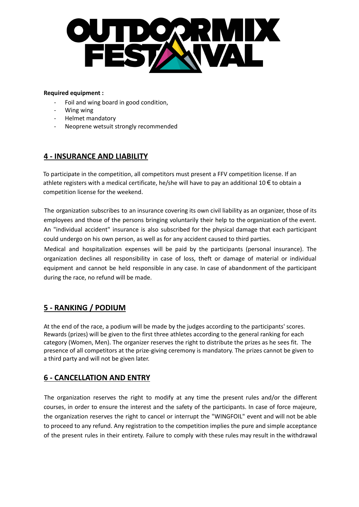

#### **Required equipment :**

- Foil and wing board in good condition,
- Wing wing
- Helmet mandatory
- Neoprene wetsuit strongly recommended

#### <span id="page-2-0"></span>**4 - INSURANCE AND LIABILITY**

To participate in the competition, all competitors must present a FFV competition license. If an athlete registers with a medical certificate, he/she will have to pay an additional 10  $\epsilon$  to obtain a competition license for the weekend.

The organization subscribes to an insurance covering its own civil liability as an organizer, those of its employees and those of the persons bringing voluntarily their help to the organization of the event. An "individual accident" insurance is also subscribed for the physical damage that each participant could undergo on his own person, as well as for any accident caused to third parties.

Medical and hospitalization expenses will be paid by the participants (personal insurance). The organization declines all responsibility in case of loss, theft or damage of material or individual equipment and cannot be held responsible in any case. In case of abandonment of the participant during the race, no refund will be made.

# <span id="page-2-1"></span>**5 - RANKING / PODIUM**

At the end of the race, a podium will be made by the judges according to the participants' scores. Rewards (prizes) will be given to the first three athletes according to the general ranking for each category (Women, Men). The organizer reserves the right to distribute the prizes as he sees fit. The presence of all competitors at the prize-giving ceremony is mandatory. The prizes cannot be given to a third party and will not be given later.

#### <span id="page-2-2"></span>**6 - CANCELLATION AND ENTRY**

The organization reserves the right to modify at any time the present rules and/or the different courses, in order to ensure the interest and the safety of the participants. In case of force majeure, the organization reserves the right to cancel or interrupt the "WINGFOIL" event and will not be able to proceed to any refund. Any registration to the competition implies the pure and simple acceptance of the present rules in their entirety. Failure to comply with these rules may result in the withdrawal